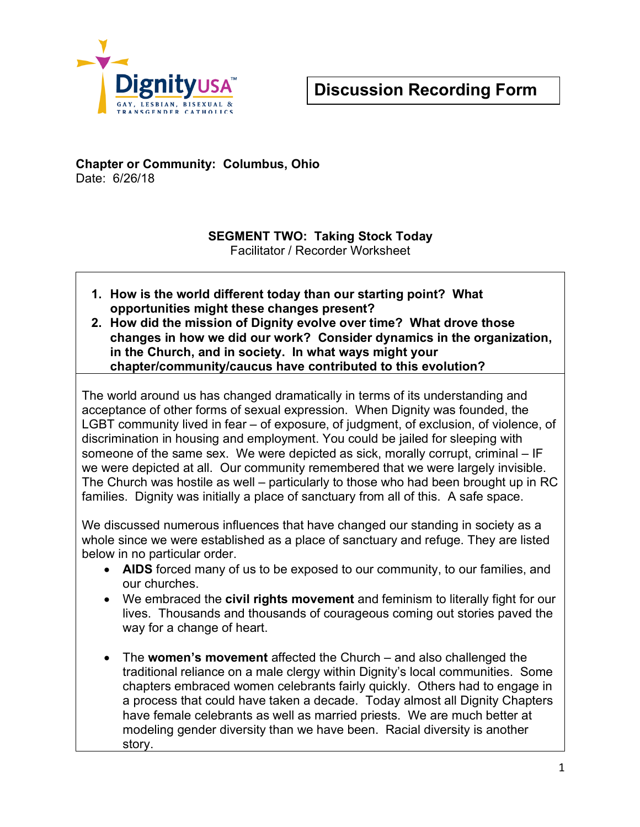

### **Chapter or Community: Columbus, Ohio** Date: 6/26/18

#### **SEGMENT TWO: Taking Stock Today** Facilitator / Recorder Worksheet

- **1. How is the world different today than our starting point? What opportunities might these changes present?**
- **2. How did the mission of Dignity evolve over time? What drove those changes in how we did our work? Consider dynamics in the organization, in the Church, and in society. In what ways might your chapter/community/caucus have contributed to this evolution?**

The world around us has changed dramatically in terms of its understanding and acceptance of other forms of sexual expression. When Dignity was founded, the LGBT community lived in fear – of exposure, of judgment, of exclusion, of violence, of discrimination in housing and employment. You could be jailed for sleeping with someone of the same sex. We were depicted as sick, morally corrupt, criminal – IF we were depicted at all. Our community remembered that we were largely invisible. The Church was hostile as well – particularly to those who had been brought up in RC families. Dignity was initially a place of sanctuary from all of this. A safe space.

We discussed numerous influences that have changed our standing in society as a whole since we were established as a place of sanctuary and refuge. They are listed below in no particular order.

- **AIDS** forced many of us to be exposed to our community, to our families, and our churches.
- We embraced the **civil rights movement** and feminism to literally fight for our lives. Thousands and thousands of courageous coming out stories paved the way for a change of heart.
- The **women's movement** affected the Church and also challenged the traditional reliance on a male clergy within Dignity's local communities. Some chapters embraced women celebrants fairly quickly. Others had to engage in a process that could have taken a decade. Today almost all Dignity Chapters have female celebrants as well as married priests. We are much better at modeling gender diversity than we have been. Racial diversity is another story.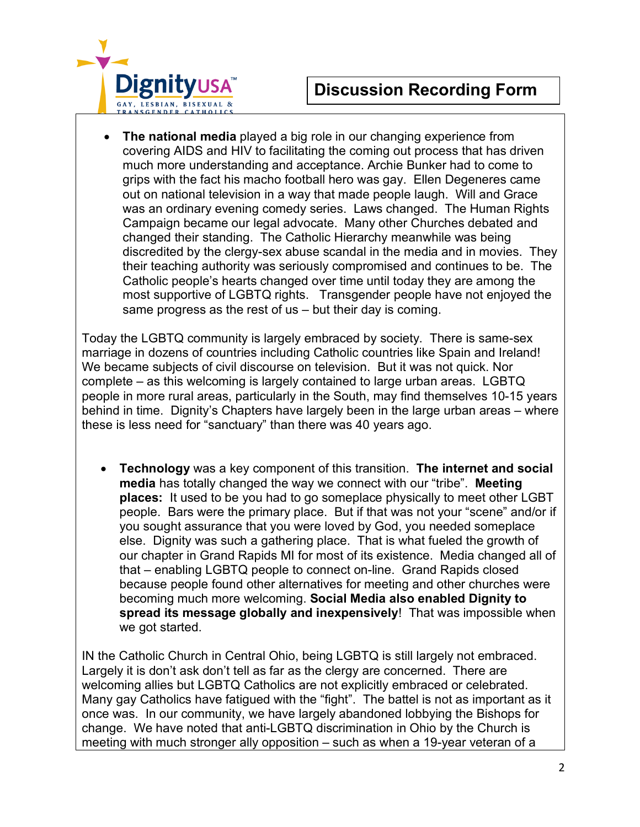

• **The national media** played a big role in our changing experience from covering AIDS and HIV to facilitating the coming out process that has driven much more understanding and acceptance. Archie Bunker had to come to grips with the fact his macho football hero was gay. Ellen Degeneres came out on national television in a way that made people laugh. Will and Grace was an ordinary evening comedy series. Laws changed. The Human Rights Campaign became our legal advocate. Many other Churches debated and changed their standing. The Catholic Hierarchy meanwhile was being discredited by the clergy-sex abuse scandal in the media and in movies. They their teaching authority was seriously compromised and continues to be. The Catholic people's hearts changed over time until today they are among the most supportive of LGBTQ rights. Transgender people have not enjoyed the same progress as the rest of us – but their day is coming.

Today the LGBTQ community is largely embraced by society. There is same-sex marriage in dozens of countries including Catholic countries like Spain and Ireland! We became subjects of civil discourse on television. But it was not quick. Nor complete – as this welcoming is largely contained to large urban areas. LGBTQ people in more rural areas, particularly in the South, may find themselves 10-15 years behind in time. Dignity's Chapters have largely been in the large urban areas – where these is less need for "sanctuary" than there was 40 years ago.

• **Technology** was a key component of this transition. **The internet and social media** has totally changed the way we connect with our "tribe". **Meeting places:** It used to be you had to go someplace physically to meet other LGBT people. Bars were the primary place. But if that was not your "scene" and/or if you sought assurance that you were loved by God, you needed someplace else. Dignity was such a gathering place. That is what fueled the growth of our chapter in Grand Rapids MI for most of its existence. Media changed all of that – enabling LGBTQ people to connect on-line. Grand Rapids closed because people found other alternatives for meeting and other churches were becoming much more welcoming. **Social Media also enabled Dignity to spread its message globally and inexpensively**! That was impossible when we got started.

IN the Catholic Church in Central Ohio, being LGBTQ is still largely not embraced. Largely it is don't ask don't tell as far as the clergy are concerned. There are welcoming allies but LGBTQ Catholics are not explicitly embraced or celebrated. Many gay Catholics have fatigued with the "fight". The battel is not as important as it once was. In our community, we have largely abandoned lobbying the Bishops for change. We have noted that anti-LGBTQ discrimination in Ohio by the Church is meeting with much stronger ally opposition – such as when a 19-year veteran of a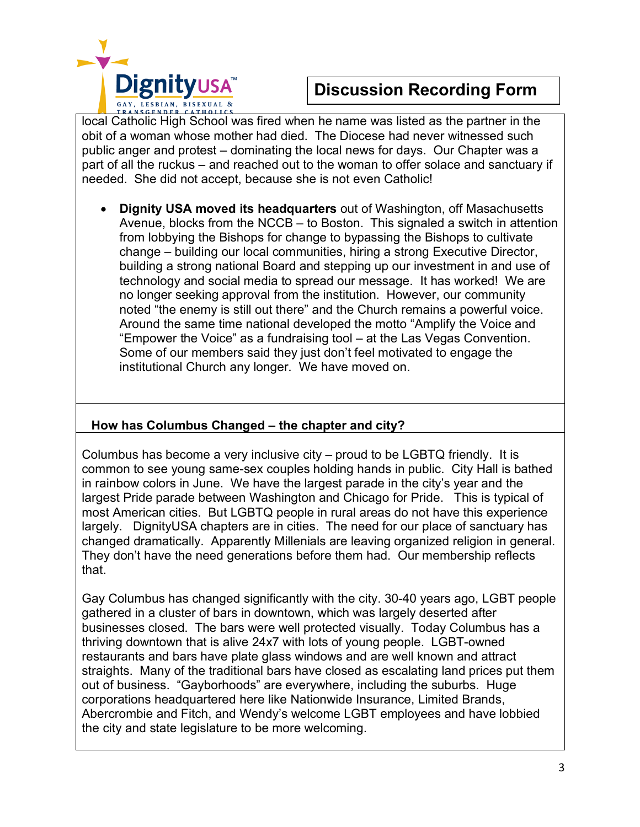

local Catholic High School was fired when he name was listed as the partner in the obit of a woman whose mother had died. The Diocese had never witnessed such public anger and protest – dominating the local news for days. Our Chapter was a part of all the ruckus – and reached out to the woman to offer solace and sanctuary if needed. She did not accept, because she is not even Catholic!

• **Dignity USA moved its headquarters** out of Washington, off Masachusetts Avenue, blocks from the NCCB – to Boston. This signaled a switch in attention from lobbying the Bishops for change to bypassing the Bishops to cultivate change – building our local communities, hiring a strong Executive Director, building a strong national Board and stepping up our investment in and use of technology and social media to spread our message. It has worked! We are no longer seeking approval from the institution. However, our community noted "the enemy is still out there" and the Church remains a powerful voice. Around the same time national developed the motto "Amplify the Voice and "Empower the Voice" as a fundraising tool – at the Las Vegas Convention. Some of our members said they just don't feel motivated to engage the institutional Church any longer. We have moved on.

### **How has Columbus Changed – the chapter and city?**

Columbus has become a very inclusive city – proud to be LGBTQ friendly. It is common to see young same-sex couples holding hands in public. City Hall is bathed in rainbow colors in June. We have the largest parade in the city's year and the largest Pride parade between Washington and Chicago for Pride. This is typical of most American cities. But LGBTQ people in rural areas do not have this experience largely. DignityUSA chapters are in cities. The need for our place of sanctuary has changed dramatically. Apparently Millenials are leaving organized religion in general. They don't have the need generations before them had. Our membership reflects that.

Gay Columbus has changed significantly with the city. 30-40 years ago, LGBT people gathered in a cluster of bars in downtown, which was largely deserted after businesses closed. The bars were well protected visually. Today Columbus has a thriving downtown that is alive 24x7 with lots of young people. LGBT-owned restaurants and bars have plate glass windows and are well known and attract straights. Many of the traditional bars have closed as escalating land prices put them out of business. "Gayborhoods" are everywhere, including the suburbs. Huge corporations headquartered here like Nationwide Insurance, Limited Brands, Abercrombie and Fitch, and Wendy's welcome LGBT employees and have lobbied the city and state legislature to be more welcoming.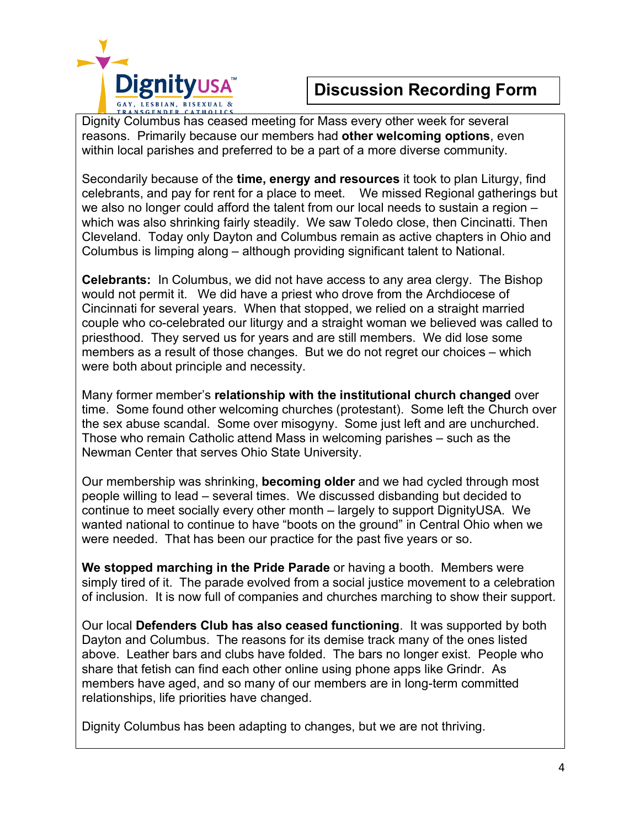

Dignity Columbus has ceased meeting for Mass every other week for several reasons. Primarily because our members had **other welcoming options**, even within local parishes and preferred to be a part of a more diverse community.

Secondarily because of the **time, energy and resources** it took to plan Liturgy, find celebrants, and pay for rent for a place to meet. We missed Regional gatherings but we also no longer could afford the talent from our local needs to sustain a region – which was also shrinking fairly steadily. We saw Toledo close, then Cincinatti. Then Cleveland. Today only Dayton and Columbus remain as active chapters in Ohio and Columbus is limping along – although providing significant talent to National.

**Celebrants:** In Columbus, we did not have access to any area clergy. The Bishop would not permit it. We did have a priest who drove from the Archdiocese of Cincinnati for several years. When that stopped, we relied on a straight married couple who co-celebrated our liturgy and a straight woman we believed was called to priesthood. They served us for years and are still members. We did lose some members as a result of those changes. But we do not regret our choices – which were both about principle and necessity.

Many former member's **relationship with the institutional church changed** over time. Some found other welcoming churches (protestant). Some left the Church over the sex abuse scandal. Some over misogyny. Some just left and are unchurched. Those who remain Catholic attend Mass in welcoming parishes – such as the Newman Center that serves Ohio State University.

Our membership was shrinking, **becoming older** and we had cycled through most people willing to lead – several times. We discussed disbanding but decided to continue to meet socially every other month – largely to support DignityUSA. We wanted national to continue to have "boots on the ground" in Central Ohio when we were needed. That has been our practice for the past five years or so.

**We stopped marching in the Pride Parade** or having a booth. Members were simply tired of it. The parade evolved from a social justice movement to a celebration of inclusion. It is now full of companies and churches marching to show their support.

Our local **Defenders Club has also ceased functioning**. It was supported by both Dayton and Columbus. The reasons for its demise track many of the ones listed above. Leather bars and clubs have folded. The bars no longer exist. People who share that fetish can find each other online using phone apps like Grindr. As members have aged, and so many of our members are in long-term committed relationships, life priorities have changed.

Dignity Columbus has been adapting to changes, but we are not thriving.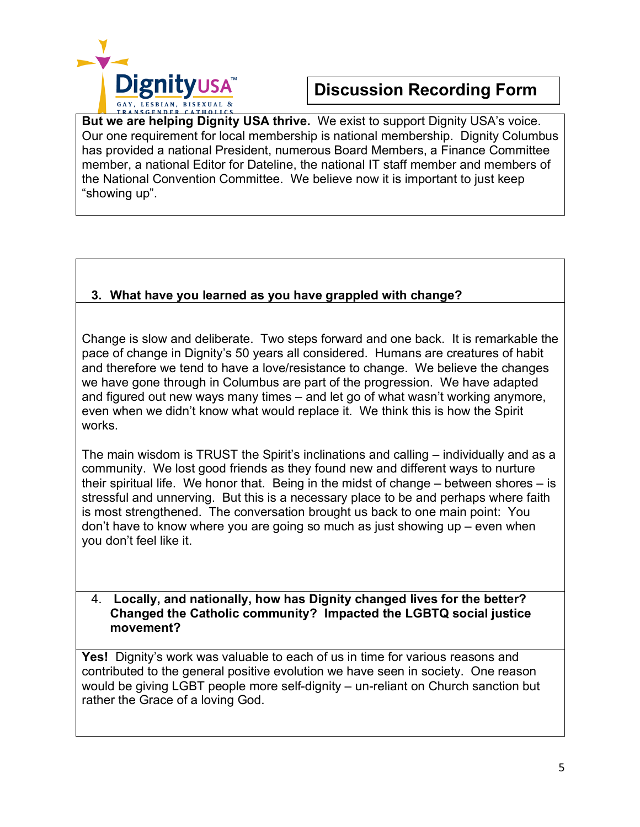

**But we are helping Dignity USA thrive.** We exist to support Dignity USA's voice. Our one requirement for local membership is national membership. Dignity Columbus has provided a national President, numerous Board Members, a Finance Committee member, a national Editor for Dateline, the national IT staff member and members of the National Convention Committee. We believe now it is important to just keep "showing up".

### **3. What have you learned as you have grappled with change?**

Change is slow and deliberate. Two steps forward and one back. It is remarkable the pace of change in Dignity's 50 years all considered. Humans are creatures of habit and therefore we tend to have a love/resistance to change. We believe the changes we have gone through in Columbus are part of the progression. We have adapted and figured out new ways many times – and let go of what wasn't working anymore, even when we didn't know what would replace it. We think this is how the Spirit works.

The main wisdom is TRUST the Spirit's inclinations and calling – individually and as a community. We lost good friends as they found new and different ways to nurture their spiritual life. We honor that. Being in the midst of change – between shores – is stressful and unnerving. But this is a necessary place to be and perhaps where faith is most strengthened. The conversation brought us back to one main point: You don't have to know where you are going so much as just showing up – even when you don't feel like it.

### 4. **Locally, and nationally, how has Dignity changed lives for the better? Changed the Catholic community? Impacted the LGBTQ social justice movement?**

**Yes!** Dignity's work was valuable to each of us in time for various reasons and contributed to the general positive evolution we have seen in society. One reason would be giving LGBT people more self-dignity – un-reliant on Church sanction but rather the Grace of a loving God.